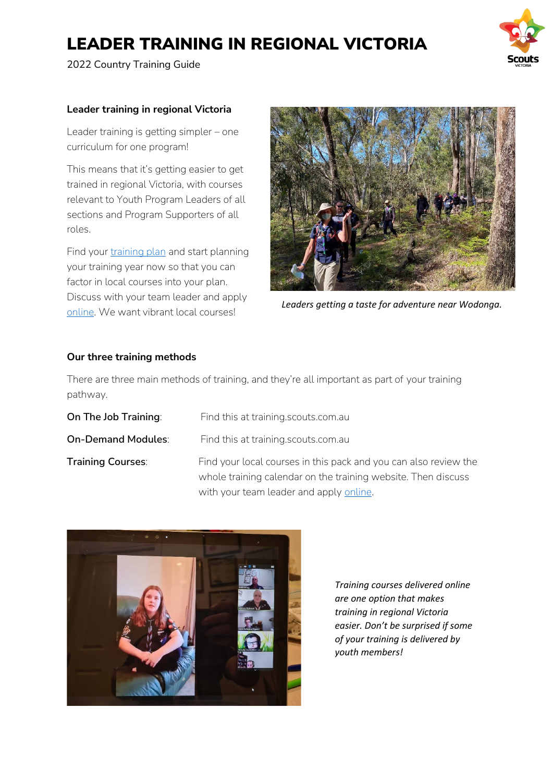2022 Country Training Guide



### **Leader training in regional Victoria**

Leader training is getting simpler – one curriculum for one program!

This means that it's getting easier to get trained in regional Victoria, with courses relevant to Youth Program Leaders of all sections and Program Supporters of all roles.

Find your [training plan](https://scoutsvictoria.com.au/age-sections-adults/training/training-plans-and-your-training-pathway/) and start planning your training year now so that you can factor in local courses into your plan. Discuss with your team leader and apply [online.](https://scoutsvictoria.com.au/age-sections-adults/training/) We want vibrant local courses!



*Leaders getting a taste for adventure near Wodonga.*

## **Our three training methods**

There are three main methods of training, and they're all important as part of your training pathway.

| On The Job Training:      | Find this at training scouts com au                                                                                                                                          |
|---------------------------|------------------------------------------------------------------------------------------------------------------------------------------------------------------------------|
| <b>On-Demand Modules:</b> | Find this at training.scouts.com.au                                                                                                                                          |
| <b>Training Courses:</b>  | Find your local courses in this pack and you can also review the<br>whole training calendar on the training website. Then discuss<br>with your team leader and apply online. |



*Training courses delivered online are one option that makes training in regional Victoria easier. Don't be surprised if some of your training is delivered by youth members!*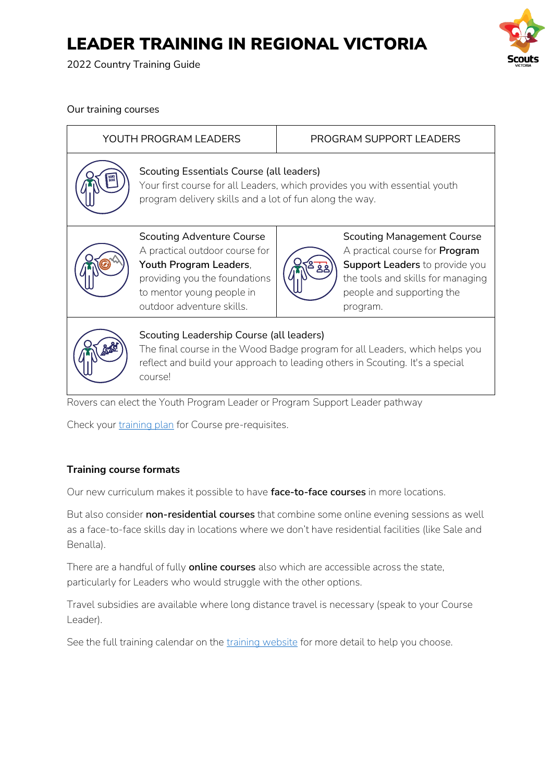2022 Country Training Guide



Our training courses

|                                                                                                                                                                                                                     | YOUTH PROGRAM LEADERS                                                                                                                                                                   | PROGRAM SUPPORT LEADERS                                                                                                                                                                    |  |  |  |  |
|---------------------------------------------------------------------------------------------------------------------------------------------------------------------------------------------------------------------|-----------------------------------------------------------------------------------------------------------------------------------------------------------------------------------------|--------------------------------------------------------------------------------------------------------------------------------------------------------------------------------------------|--|--|--|--|
|                                                                                                                                                                                                                     | Scouting Essentials Course (all leaders)<br>Your first course for all Leaders, which provides you with essential youth<br>program delivery skills and a lot of fun along the way.       |                                                                                                                                                                                            |  |  |  |  |
|                                                                                                                                                                                                                     | <b>Scouting Adventure Course</b><br>A practical outdoor course for<br>Youth Program Leaders,<br>providing you the foundations<br>to mentor young people in<br>outdoor adventure skills. | <b>Scouting Management Course</b><br>A practical course for <b>Program</b><br>Support Leaders to provide you<br>the tools and skills for managing<br>people and supporting the<br>program. |  |  |  |  |
| Scouting Leadership Course (all leaders)<br>The final course in the Wood Badge program for all Leaders, which helps you<br>reflect and build your approach to leading others in Scouting. It's a special<br>course! |                                                                                                                                                                                         |                                                                                                                                                                                            |  |  |  |  |
| Rovers can elect the Youth Program Leader or Program Support Leader pathway                                                                                                                                         |                                                                                                                                                                                         |                                                                                                                                                                                            |  |  |  |  |

Check your [training plan](https://scoutsvictoria.com.au/age-sections-adults/training/training-plans-and-your-training-pathway/) for Course pre-requisites.

## **Training course formats**

Our new curriculum makes it possible to have **face-to-face courses** in more locations.

But also consider **non-residential courses** that combine some online evening sessions as well as a face-to-face skills day in locations where we don't have residential facilities (like Sale and Benalla).

There are a handful of fully **online courses** also which are accessible across the state, particularly for Leaders who would struggle with the other options.

Travel subsidies are available where long distance travel is necessary (speak to your Course Leader).

See the full training calendar on the [training website](https://scoutsvictoria.com.au/age-sections-adults/training/) for more detail to help you choose.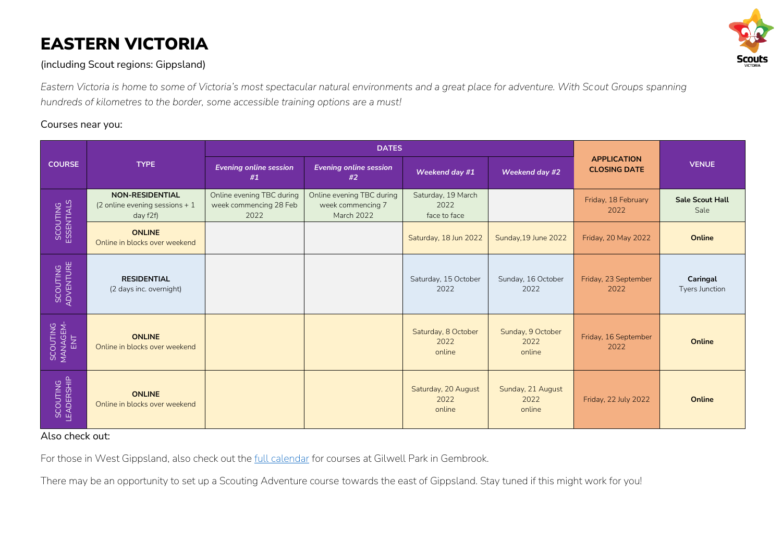# EASTERN VICTORIA



## (including Scout regions: Gippsland)

*Eastern Victoria is home to some of Victoria's most spectacular natural environments and a great place for adventure. With Scout Groups spanning hundreds of kilometres to the border, some accessible training options are a must!*

### Courses near you:

|                             | <b>TYPE</b>                                                           | <b>DATES</b>                                                |                                                                     |                                            |                                     |                                           |                                |
|-----------------------------|-----------------------------------------------------------------------|-------------------------------------------------------------|---------------------------------------------------------------------|--------------------------------------------|-------------------------------------|-------------------------------------------|--------------------------------|
| <b>COURSE</b>               |                                                                       | <b>Evening online session</b><br>#1                         | <b>Evening online session</b><br>#2                                 | Weekend day #1                             | Weekend day #2                      | <b>APPLICATION</b><br><b>CLOSING DATE</b> | <b>VENUE</b>                   |
| SCOUTING<br>ESSENTIALS      | <b>NON-RESIDENTIAL</b><br>(2 online evening sessions $+1$<br>day f2f) | Online evening TBC during<br>week commencing 28 Feb<br>2022 | Online evening TBC during<br>week commencing 7<br><b>March 2022</b> | Saturday, 19 March<br>2022<br>face to face |                                     | Friday, 18 February<br>2022               | <b>Sale Scout Hall</b><br>Sale |
|                             | <b>ONLINE</b><br>Online in blocks over weekend                        |                                                             |                                                                     | Saturday, 18 Jun 2022                      | Sunday, 19 June 2022                | Friday, 20 May 2022                       | Online                         |
| SCOUTING<br>ADVENTURE       | <b>RESIDENTIAL</b><br>(2 days inc. overnight)                         |                                                             |                                                                     | Saturday, 15 October<br>2022               | Sunday, 16 October<br>2022          | Friday, 23 September<br>2022              | Caringal<br>Tyers Junction     |
| SCOUTING<br>MANAGEM-<br>ENT | <b>ONLINE</b><br>Online in blocks over weekend                        |                                                             |                                                                     | Saturday, 8 October<br>2022<br>online      | Sunday, 9 October<br>2022<br>online | Friday, 16 September<br>2022              | Online                         |
| SCOUTING<br>LEADERSHIP      | <b>ONLINE</b><br>Online in blocks over weekend                        |                                                             |                                                                     | Saturday, 20 August<br>2022<br>online      | Sunday, 21 August<br>2022<br>online | Friday, 22 July 2022                      | <b>Online</b>                  |

### Also check out:

For those in West Gippsland, also check out the [full calendar](https://scoutsvictoria.com.au/age-sections-adults/training/) for courses at Gilwell Park in Gembrook.

There may be an opportunity to set up a Scouting Adventure course towards the east of Gippsland. Stay tuned if this might work for you!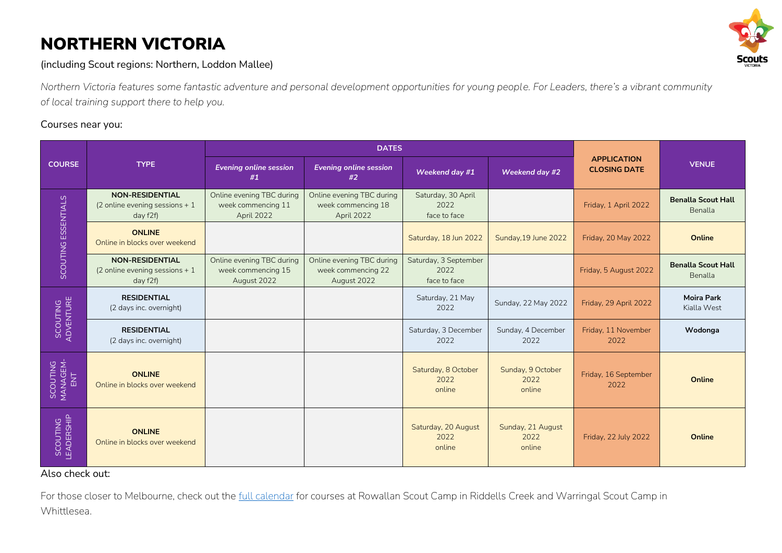# NORTHERN VICTORIA



(including Scout regions: Northern, Loddon Mallee)

*Northern Victoria features some fantastic adventure and personal development opportunities for young people. For Leaders, there's a vibrant community of local training support there to help you.*

## Courses near you:

| <b>COURSE</b>               | <b>TYPE</b>                                                           | <b>DATES</b>                                                   |                                                                |                                               |                                     |                                           |                                             |
|-----------------------------|-----------------------------------------------------------------------|----------------------------------------------------------------|----------------------------------------------------------------|-----------------------------------------------|-------------------------------------|-------------------------------------------|---------------------------------------------|
|                             |                                                                       | <b>Evening online session</b><br>#1                            | <b>Evening online session</b><br>#2                            | Weekend day #1                                | Weekend day #2                      | <b>APPLICATION</b><br><b>CLOSING DATE</b> | <b>VENUE</b>                                |
| SCOUTING ESSENTIALS         | <b>NON-RESIDENTIAL</b><br>(2 online evening sessions $+1$<br>day f2f) | Online evening TBC during<br>week commencing 11<br>April 2022  | Online evening TBC during<br>week commencing 18<br>April 2022  | Saturday, 30 April<br>2022<br>face to face    |                                     | Friday, 1 April 2022                      | <b>Benalla Scout Hall</b><br><b>Benalla</b> |
|                             | <b>ONLINE</b><br>Online in blocks over weekend                        |                                                                |                                                                | Saturday, 18 Jun 2022                         | Sunday, 19 June 2022                | Friday, 20 May 2022                       | Online                                      |
|                             | <b>NON-RESIDENTIAL</b><br>(2 online evening sessions $+1$<br>day f2f) | Online evening TBC during<br>week commencing 15<br>August 2022 | Online evening TBC during<br>week commencing 22<br>August 2022 | Saturday, 3 September<br>2022<br>face to face |                                     | Friday, 5 August 2022                     | <b>Benalla Scout Hall</b><br><b>Benalla</b> |
| SCOUTING<br>ADVENTURE       | <b>RESIDENTIAL</b><br>(2 days inc. overnight)                         |                                                                |                                                                | Saturday, 21 May<br>2022                      | Sunday, 22 May 2022                 | Friday, 29 April 2022                     | <b>Moira Park</b><br>Kialla West            |
|                             | <b>RESIDENTIAL</b><br>(2 days inc. overnight)                         |                                                                |                                                                | Saturday, 3 December<br>2022                  | Sunday, 4 December<br>2022          | Friday, 11 November<br>2022               | Wodonga                                     |
| SCOUTING<br>MANAGEM-<br>ENT | <b>ONLINE</b><br>Online in blocks over weekend                        |                                                                |                                                                | Saturday, 8 October<br>2022<br>online         | Sunday, 9 October<br>2022<br>online | Friday, 16 September<br>2022              | Online                                      |
| SCOUTING<br>LEADERSHIP      | <b>ONLINE</b><br>Online in blocks over weekend                        |                                                                |                                                                | Saturday, 20 August<br>2022<br>online         | Sunday, 21 August<br>2022<br>online | Friday, 22 July 2022                      | Online                                      |

Also check out:

For those closer to Melbourne, check out the [full calendar](https://scoutsvictoria.com.au/age-sections-adults/training/) for courses at Rowallan Scout Camp in Riddells Creek and Warringal Scout Camp in Whittlesea.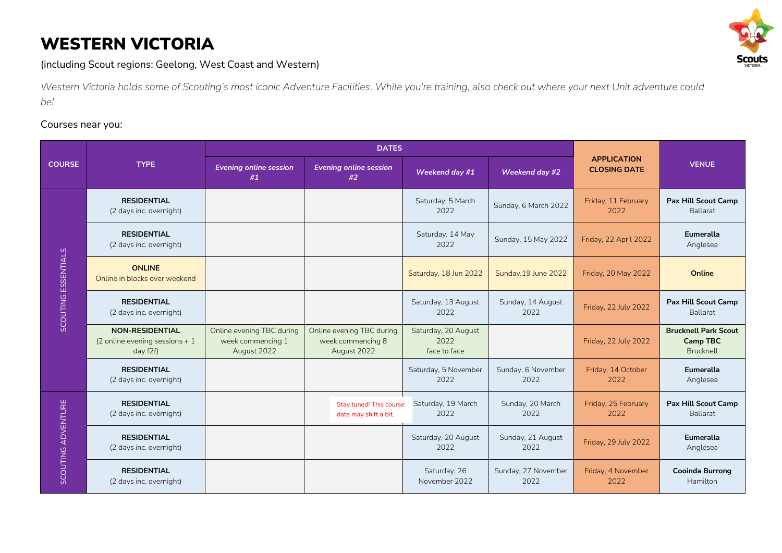# WESTERN VICTORIA



(including Scout regions: Geelong, West Coast and Western)

*Western Victoria holds some of Scouting's most iconic Adventure Facilities. While you're training, also check out where your next Unit adventure could be!*

## Courses near you:

|                     | <b>TYPE</b>                                                           | <b>DATES</b>                                                  |                                                               |                                             |                             |                                           |                                                             |
|---------------------|-----------------------------------------------------------------------|---------------------------------------------------------------|---------------------------------------------------------------|---------------------------------------------|-----------------------------|-------------------------------------------|-------------------------------------------------------------|
| <b>COURSE</b>       |                                                                       | <b>Evening online session</b><br>#1                           | <b>Evening online session</b><br>#2                           | Weekend day #1                              | Weekend day #2              | <b>APPLICATION</b><br><b>CLOSING DATE</b> | <b>VENUE</b>                                                |
| SCOUTING ESSENTIALS | <b>RESIDENTIAL</b><br>(2 days inc. overnight)                         |                                                               |                                                               | Saturday, 5 March<br>2022                   | Sunday, 6 March 2022        | Friday, 11 February<br>2022               | <b>Pax Hill Scout Camp</b><br><b>Ballarat</b>               |
|                     | <b>RESIDENTIAL</b><br>(2 days inc. overnight)                         |                                                               |                                                               | Saturday, 14 May<br>2022                    | Sunday, 15 May 2022         | Friday, 22 April 2022                     | Eumeralla<br>Anglesea                                       |
|                     | <b>ONLINE</b><br>Online in blocks over weekend                        |                                                               |                                                               | Saturday, 18 Jun 2022                       | Sunday, 19 June 2022        | Friday, 20 May 2022                       | Online                                                      |
|                     | <b>RESIDENTIAL</b><br>(2 days inc. overnight)                         |                                                               |                                                               | Saturday, 13 August<br>2022                 | Sunday, 14 August<br>2022   | Friday, 22 July 2022                      | <b>Pax Hill Scout Camp</b><br><b>Ballarat</b>               |
|                     | <b>NON-RESIDENTIAL</b><br>(2 online evening sessions $+1$<br>day f2f) | Online evening TBC during<br>week commencing 1<br>August 2022 | Online evening TBC during<br>week commencing 8<br>August 2022 | Saturday, 20 August<br>2022<br>face to face |                             | Friday, 22 July 2022                      | <b>Brucknell Park Scout</b><br><b>Camp TBC</b><br>Brucknell |
|                     | <b>RESIDENTIAL</b><br>(2 days inc. overnight)                         |                                                               |                                                               | Saturday, 5 November<br>2022                | Sunday, 6 November<br>2022  | Friday, 14 October<br>2022                | <b>Eumeralla</b><br>Anglesea                                |
| SCOUTING ADVENTURE  | <b>RESIDENTIAL</b><br>(2 days inc. overnight)                         |                                                               | Stay tuned! This course<br>date may shift a bit.              | Saturday, 19 March<br>2022                  | Sunday, 20 March<br>2022    | Friday, 25 February<br>2022               | <b>Pax Hill Scout Camp</b><br>Ballarat                      |
|                     | <b>RESIDENTIAL</b><br>(2 days inc. overnight)                         |                                                               |                                                               | Saturday, 20 August<br>2022                 | Sunday, 21 August<br>2022   | Friday, 29 July 2022                      | <b>Eumeralla</b><br>Anglesea                                |
|                     | <b>RESIDENTIAL</b><br>(2 days inc. overnight)                         |                                                               |                                                               | Saturday, 26<br>November 2022               | Sunday, 27 November<br>2022 | Friday, 4 November<br>2022                | <b>Cooinda Burrong</b><br>Hamilton                          |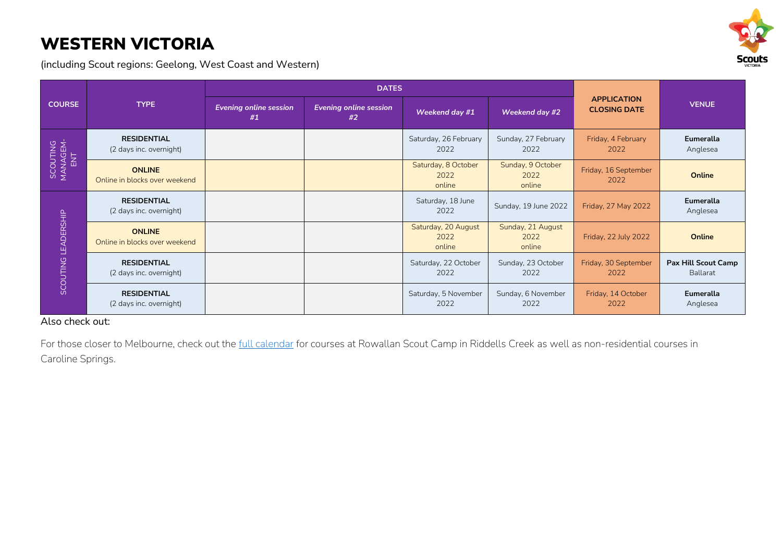# WESTERN VICTORIA

(including Scout regions: Geelong, West Coast and Western)



|                             |                                                | <b>DATES</b>                        |                                     |                                       |                                     |                                           |                                        |
|-----------------------------|------------------------------------------------|-------------------------------------|-------------------------------------|---------------------------------------|-------------------------------------|-------------------------------------------|----------------------------------------|
| <b>COURSE</b>               | <b>TYPE</b>                                    | <b>Evening online session</b><br>#1 | <b>Evening online session</b><br>#2 | Weekend day #1                        | Weekend day #2                      | <b>APPLICATION</b><br><b>CLOSING DATE</b> | <b>VENUE</b>                           |
| SCOUTING<br>MANAGEM-<br>ENT | <b>RESIDENTIAL</b><br>(2 days inc. overnight)  |                                     |                                     | Saturday, 26 February<br>2022         | Sunday, 27 February<br>2022         | Friday, 4 February<br>2022                | <b>Eumeralla</b><br>Anglesea           |
|                             | <b>ONLINE</b><br>Online in blocks over weekend |                                     |                                     | Saturday, 8 October<br>2022<br>online | Sunday, 9 October<br>2022<br>online | Friday, 16 September<br>2022              | Online                                 |
| SCOUTING LEADERSHIP         | <b>RESIDENTIAL</b><br>(2 days inc. overnight)  |                                     |                                     | Saturday, 18 June<br>2022             | Sunday, 19 June 2022                | Friday, 27 May 2022                       | <b>Eumeralla</b><br>Anglesea           |
|                             | <b>ONLINE</b><br>Online in blocks over weekend |                                     |                                     | Saturday, 20 August<br>2022<br>online | Sunday, 21 August<br>2022<br>online | Friday, 22 July 2022                      | Online                                 |
|                             | <b>RESIDENTIAL</b><br>(2 days inc. overnight)  |                                     |                                     | Saturday, 22 October<br>2022          | Sunday, 23 October<br>2022          | Friday, 30 September<br>2022              | <b>Pax Hill Scout Camp</b><br>Ballarat |
|                             | <b>RESIDENTIAL</b><br>(2 days inc. overnight)  |                                     |                                     | Saturday, 5 November<br>2022          | Sunday, 6 November<br>2022          | Friday, 14 October<br>2022                | Eumeralla<br>Anglesea                  |

#### Also check out:

For those closer to Melbourne, check out the [full calendar](https://scoutsvictoria.com.au/age-sections-adults/training/) for courses at Rowallan Scout Camp in Riddells Creek as well as non-residential courses in Caroline Springs.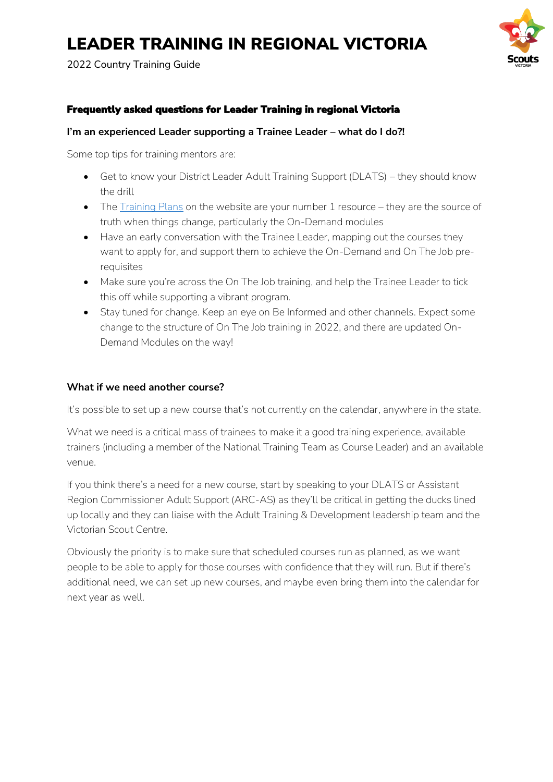2022 Country Training Guide

# Frequently asked questions for Leader Training in regional Victoria

### **I'm an experienced Leader supporting a Trainee Leader – what do I do?!**

Some top tips for training mentors are:

- Get to know your District Leader Adult Training Support (DLATS) they should know the drill
- The [Training Plans](https://scoutsvictoria.com.au/age-sections-adults/training/training-plans-and-your-training-pathway/) on the website are your number 1 resource they are the source of truth when things change, particularly the On-Demand modules
- Have an early conversation with the Trainee Leader, mapping out the courses they want to apply for, and support them to achieve the On-Demand and On The Job prerequisites
- Make sure you're across the On The Job training, and help the Trainee Leader to tick this off while supporting a vibrant program.
- Stay tuned for change. Keep an eye on Be Informed and other channels. Expect some change to the structure of On The Job training in 2022, and there are updated On-Demand Modules on the way!

### **What if we need another course?**

It's possible to set up a new course that's not currently on the calendar, anywhere in the state.

What we need is a critical mass of trainees to make it a good training experience, available trainers (including a member of the National Training Team as Course Leader) and an available venue.

If you think there's a need for a new course, start by speaking to your DLATS or Assistant Region Commissioner Adult Support (ARC-AS) as they'll be critical in getting the ducks lined up locally and they can liaise with the Adult Training & Development leadership team and the Victorian Scout Centre.

Obviously the priority is to make sure that scheduled courses run as planned, as we want people to be able to apply for those courses with confidence that they will run. But if there's additional need, we can set up new courses, and maybe even bring them into the calendar for next year as well.